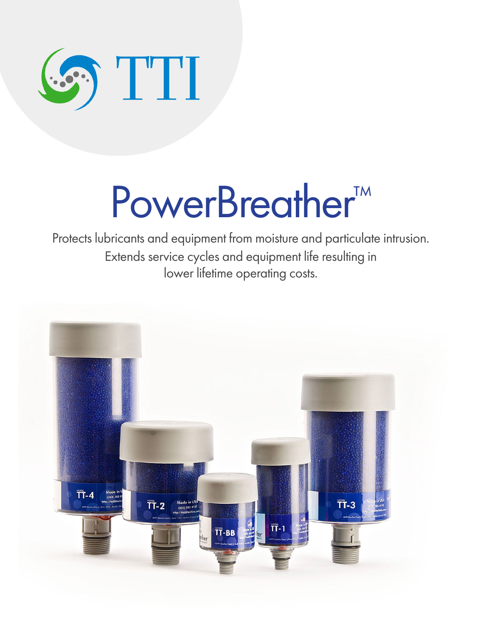

# PowerBreather<sup>™</sup>

Protects lubricants and equipment from moisture and particulate intrusion. Extends service cycles and equipment life resulting in lower lifetime operating costs.

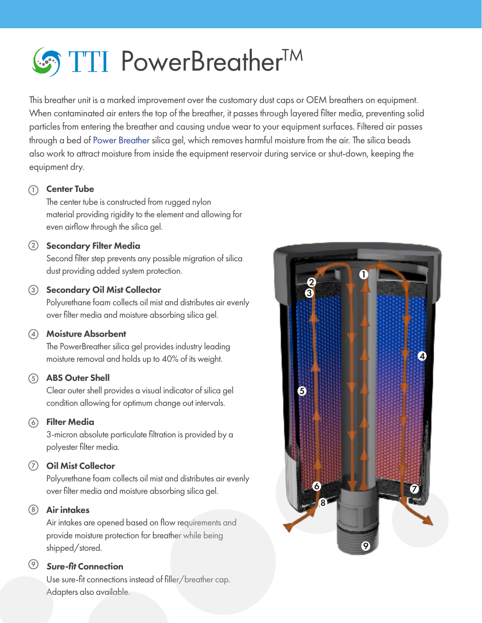

This breather unit is a marked improvement over the customary dust caps or OEM breathers on equipment. When contaminated air enters the top of the breather, it passes through layered filter media, preventing solid particles from entering the breather and causing undue wear to your equipment surfaces. Filtered air passes through a bed of Power Breather silica gel, which removes harmful moisture from the air. The silica beads also work to attract moisture from inside the equipment reservoir during service or shut-down, keeping the equipment dry.

#### 1) **Center Tube**

The center tube is constructed from rugged nylon material providing rigidity to the element and allowing for even airflow through the silica gel.

#### $\overline{2}$  Secondary Filter Media

Second filter step prevents any possible migration of silica dust providing added system protection.

#### 3) Secondary Oil Mist Collector

Polyurethane foam collects oil mist and distributes air evenly over filter media and moisture absorbing silica gel.

#### 4) Moisture Absorbent

The PowerBreather silica gel provides industry leading moisture removal and holds up to 40% of its weight.

#### 5) ABS Outer Shell

Clear outer shell provides a visual indicator of silica gel condition allowing for optimum change out intervals.

#### Filter Media 6

3-micron absolute particulate filtration is provided by a polyester filter media.

#### **7)** Oil Mist Collector

Polyurethane foam collects oil mist and distributes air evenly over filter media and moisture absorbing silica gel.

#### 8) Air intakes

Air intakes are opened based on flow requirements and provide moisture protection for breather while being shipped/stored.

#### *Sure-fit* Connection 9

Use sure-fit connections instead of filler/breather cap. Adapters also available.

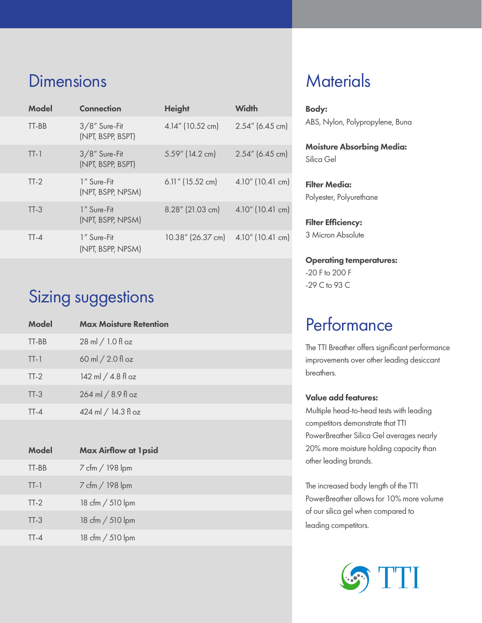## **Dimensions**

| <b>Model</b> | <b>Connection</b>                     | <b>Height</b>       | <b>Width</b>        |
|--------------|---------------------------------------|---------------------|---------------------|
| TT-BB        | $3/8$ " Sure-Fit<br>(NPT, BSPP, BSPT) | 4.14" (10.52 cm)    | $2.54''$ (6.45 cm)  |
| $TT-1$       | $3/8$ " Sure-Fit<br>(NPT, BSPP, BSPT) | $5.59''$ (14.2 cm)  | $2.54''$ (6.45 cm)  |
| $TT-2$       | 1" Sure-Fit<br>(NPT, BSPP, NPSM)      | $6.11''$ (15.52 cm) | $4.10''$ (10.41 cm) |
| $TT-3$       | 1" Sure-Fit<br>(NPT, BSPP, NPSM)      | 8.28" (21.03 cm)    | 4.10" (10.41 cm)    |
| $TT - 4$     | 1" Sure-Fit<br>(NPT, BSPP, NPSM)      | 10.38" (26.37 cm)   | $4.10''$ (10.41 cm) |

# Sizing suggestions

| <b>Model</b> | <b>Max Moisture Retention</b>       |
|--------------|-------------------------------------|
| TT-BB        | $28 \text{ ml} / 1.0 \text{ fl oz}$ |
| $TT-1$       | 60 ml $/2.0$ fl oz                  |
| $TT-2$       | 142 ml / 4.8 fl oz                  |
| $TT-3$       | 264 ml / 8.9 fl oz                  |
| $TT-4$       | 424 ml / 14.3 fl oz                 |
|              |                                     |

| <b>Max Airflow at 1psid</b> |
|-----------------------------|
| 7 cfm / 198 lpm             |
| 7 cfm / 198 lpm             |
| 18 cfm / 510 lpm            |
| 18 cfm / 510 lpm            |
| 18 cfm / 510 lpm            |
|                             |

## **Materials**

Body: ABS, Nylon, Polypropylene, Buna

Moisture Absorbing Media: Silica Gel

Filter Media: Polyester, Polyurethane

Filter Efficiency: 3 Micron Absolute

Operating temperatures: -20 F to 200 F -29 C to 93 C

## **Performance**

The TTI Breather offers significant performance improvements over other leading desiccant breathers.

#### Value add features:

Multiple head-to-head tests with leading competitors demonstrate that TTI PowerBreather Silica Gel averages nearly 20% more moisture holding capacity than other leading brands.

The increased body length of the TTI PowerBreather allows for 10% more volume of our silica gel when compared to leading competitors.